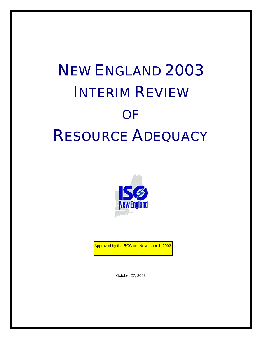# NEW ENGLAND 2003 INTERIM REVIEW **OF** RESOURCE ADEQUACY



Approved by the RCC on November 4, 2003<br>

October 27, 2003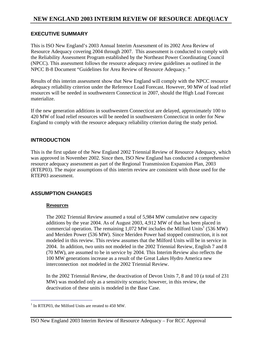# **NEW ENGLAND 2003 INTERIM REVIEW OF RESOURCE ADEQUACY**

#### **EXECUTIVE SUMMARY**

This is ISO New England's 2003 Annual Interim Assessment of its 2002 Area Review of Resource Adequacy covering 2004 through 2007. This assessment is conducted to comply with the Reliability Assessment Program established by the Northeast Power Coordinating Council (NPCC). This assessment follows the resource adequacy review guidelines as outlined in the NPCC B-8 Document "Guidelines for Area Review of Resource Adequacy. "

Results of this interim assessment show that New England will comply with the NPCC resource adequacy reliability criterion under the Reference Load Forecast. However, 90 MW of load relief resources will be needed in southwestern Connecticut in 2007, should the High Load Forecast materialize.

If the new generation additions in southwestern Connecticut are delayed, approximately 100 to 420 MW of load relief resources will be needed in southwestern Connecticut in order for New England to comply with the resource adequacy reliability criterion during the study period.

#### **INTRODUCTION**

This is the first update of the New England 2002 Triennial Review of Resource Adequacy, which was approved in November 2002. Since then, ISO New England has conducted a comprehensive resource adequacy assessment as part of the Regional Transmission Expansion Plan, 2003 (RTEP03). The major assumptions of this interim review are consistent with those used for the RTEP03 assessment.

#### **ASSUMPTION CHANGES**

#### **Resources**

The 2002 Triennial Review assumed a total of 5,984 MW cumulative new capacity additions by the year 2004. As of August 2003, 4,912 MW of that has been placed in commercial operation. The remaining 1,072 MW includes the Milford Units<sup>1</sup> (536 MW) and Meriden Power (536 MW). Since Meriden Power had stopped construction, it is not modeled in this review. This review assumes that the Milford Units will be in service in 2004. In addition, two units not modeled in the 2002 Triennial Review, English 7 and 8 (70 MW), are assumed to be in service by 2004. This Interim Review also reflects the 100 MW generations increase as a result of the Great Lakes Hydro America new interconnection not modeled in the 2002 Triennial Review.

In the 2002 Triennial Review, the deactivation of Devon Units 7, 8 and 10 (a total of 231 MW) was modeled only as a sensitivity scenario; however, in this review, the deactivation of these units is modeled in the Base Case.

<sup>&</sup>lt;sup>1</sup> In RTEP03, the Milford Units are rerated to 450 MW.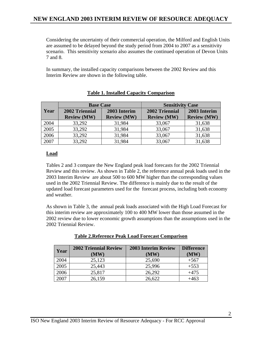Considering the uncertainty of their commercial operation, the Milford and English Units are assumed to be delayed beyond the study period from 2004 to 2007 as a sensitivity scenario. This sensitivity scenario also assumes the continued operation of Devon Units 7 and 8.

In summary, the installed capacity comparisons between the 2002 Review and this Interim Review are shown in the following table.

|      | <b>Base Case</b>   |                    | <b>Sensitivity Case</b> |                    |
|------|--------------------|--------------------|-------------------------|--------------------|
| Year | 2002 Triennial     | 2003 Interim       | 2002 Triennial          | 2003 Interim       |
|      | <b>Review (MW)</b> | <b>Review (MW)</b> | <b>Review (MW)</b>      | <b>Review (MW)</b> |
| 2004 | 33,292             | 31,984             | 33,067                  | 31,638             |
| 2005 | 33,292             | 31,984             | 33,067                  | 31,638             |
| 2006 | 33,292             | 31,984             | 33,067                  | 31,638             |
| 2007 | 33,292             | 31,984             | 33,067                  | 31,638             |

## **Table 1. Installed Capacity Comparison**

## **Load**

Tables 2 and 3 compare the New England peak load forecasts for the 2002 Triennial Review and this review. As shown in Table 2, the reference annual peak loads used in the 2003 Interim Review are about 500 to 600 MW higher than the corresponding values used in the 2002 Triennial Review. The difference is mainly due to the result of the updated load forecast parameters used for the forecast process, including both economy and weather.

As shown in Table 3, the annual peak loads associated with the High Load Forecast for this interim review are approximately 100 to 400 MW lower than those assumed in the 2002 review due to lower economic growth assumptions than the assumptions used in the 2002 Triennial Review.

| Year | <b>2002 Triennial Review</b><br>(MW) | <b>2003 Interim Review</b><br>(MW) | <b>Difference</b><br>(MW) |
|------|--------------------------------------|------------------------------------|---------------------------|
| 2004 | 25,123                               | 25,690                             | $+567$                    |
| 2005 | 25,443                               | 25,996                             | $+553$                    |
| 2006 | 25,817                               | 26,292                             | $+475$                    |
| 2007 | 26,159                               | 26,622                             | $+463$                    |

#### **Table 2.Reference Peak Load Forecast Comparison**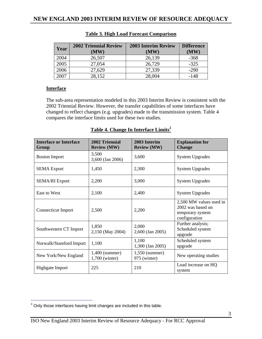| Year | <b>2002 Triennial Review</b><br>(MW) | <b>2003 Interim Review</b><br>(MW) | <b>Difference</b><br>(MW) |
|------|--------------------------------------|------------------------------------|---------------------------|
| 2004 | 26,507                               | 26,139                             | $-368$                    |
| 2005 | 27,054                               | 26,729                             | $-325$                    |
| 2006 | 27,629                               | 27,339                             | $-290$                    |
| 2007 | 28,152                               | 28,004                             | $-148$                    |

## **Table 3. High Load Forecast Comparison**

#### **Interface**

The sub-area representation modeled in this 2003 Interim Review is consistent with the 2002 Triennial Review. However, the transfer capabilities of some interfaces have changed to reflect changes (e.g. upgrades) made to the transmission system. Table 4 compares the interface limits used for these two studies.

| <b>Interface or Interface</b><br>Group | 2002 Triennial<br><b>Review (MW)</b> | 2003 Interim<br><b>Review (MW)</b> | <b>Explanation for</b><br><b>Change</b>                                           |
|----------------------------------------|--------------------------------------|------------------------------------|-----------------------------------------------------------------------------------|
| <b>Boston Import</b>                   | 3,500<br>3,600 (Jan 2006)            | 3,600                              | <b>System Upgrades</b>                                                            |
| <b>SEMA</b> Export                     | 1,450                                | 2,300                              | <b>System Upgrades</b>                                                            |
| <b>SEMA/RI Export</b>                  | 2,200                                | 3,000                              | <b>System Upgrades</b>                                                            |
| East to West                           | 2,100                                | 2,400                              | <b>System Upgrades</b>                                                            |
| <b>Connecticut Import</b>              | 2,500                                | 2,200                              | 2,500 MW values used in<br>2002 was based on<br>temporary system<br>configuration |
| Southwestern CT Import                 | 1,850<br>2,150 (May 2004)            | 2,000<br>2,600 (Jan 2005)          | Further analysis;<br>Scheduled system<br>upgrade                                  |
| Norwalk/Stamford Import                | 1,100                                | 1,100<br>1,300 (Jan 2005)          | Scheduled system<br>upgrade                                                       |
| New York/New England                   | $1,400$ (summer)<br>1,700 (winter)   | $1,550$ (summer)<br>975 (winter)   | New operating studies                                                             |
| Highgate Import                        | 225                                  | 210                                | Load increase on HQ<br>system                                                     |

#### Table 4. Change In Interface Limits<sup>2</sup>

**<sup>2</sup>**<br>
<sup>2</sup> Only those interfaces having limit changes are included in this table.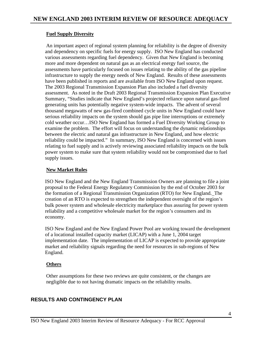#### **Fuel Supply Diversity**

 An important aspect of regional system planning for reliability is the degree of diversity and dependency on specific fuels for energy supply. ISO New England has conducted various assessments regarding fuel dependency. Given that New England is becoming more and more dependent on natural gas as an electrical energy fuel source, the assessments have particularly focused on issues relating to the ability of the gas pipeline infrastructure to supply the energy needs of New England. Results of these assessments have been published in reports and are available from ISO New England upon request. The 2003 Regional Transmission Expansion Plan also included a fuel diversity assessment. As noted in the Draft 2003 Regional Transmission Expansion Plan Executive Summary, "Studies indicate that New England's projected reliance upon natural gas-fired generating units has potentially negative system-wide impacts. The advent of several thousand megawatts of new gas-fired combined cycle units in New England could have serious reliability impacts on the system should gas pipe line interruptions or extremely cold weather occur…ISO New England has formed a Fuel Diversity Working Group to examine the problem. The effort will focus on understanding the dynamic relationships between the electric and natural gas infrastructure in New England, and how electric reliability could be impacted." In summary, ISO New England is concerned with issues relating to fuel supply and is actively reviewing associated reliability impacts on the bulk power system to make sure that system reliability would not be compromised due to fuel supply issues.

#### **New Market Rules**

ISO New England and the New England Transmission Owners are planning to file a joint proposal to the Federal Energy Regulatory Commission by the end of October 2003 for the formation of a Regional Transmission Organization (RTO) for New England. The creation of an RTO is expected to strengthen the independent oversight of the region's bulk power system and wholesale electricity marketplace thus assuring for power system reliability and a competitive wholesale market for the region's consumers and its economy.

ISO New England and the New England Power Pool are working toward the development of a locational installed capacity market (LICAP) with a June 1, 2004 target implementation date. The implementation of LICAP is expected to provide appropriate market and reliability signals regarding the need for resources in sub-regions of New England.

#### **Others**

Other assumptions for these two reviews are quite consistent, or the changes are negligible due to not having dramatic impacts on the reliability results.

## **RESULTS AND CONTINGENCY PLAN**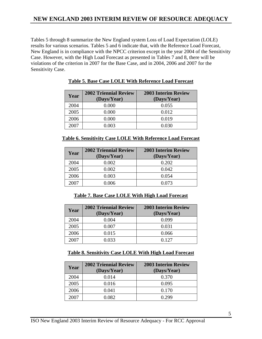# **NEW ENGLAND 2003 INTERIM REVIEW OF RESOURCE ADEQUACY**

Tables 5 through 8 summarize the New England system Loss of Load Expectation (LOLE) results for various scenarios. Tables 5 and 6 indicate that, with the Reference Load Forecast, New England is in compliance with the NPCC criterion except in the year 2004 of the Sensitivity Case. However, with the High Load Forecast as presented in Tables 7 and 8, there will be violations of the criterion in 2007 for the Base Case, and in 2004, 2006 and 2007 for the Sensitivity Case.

| Year | <b>2002 Triennial Review</b><br>(Days/Year) | <b>2003 Interim Review</b><br>(Days/Year) |
|------|---------------------------------------------|-------------------------------------------|
| 2004 | 0.000                                       | 0.055                                     |
| 2005 | 0.000                                       | 0.012                                     |
| 2006 | 0.000                                       | 0.019                                     |
| 2007 | 1.003                                       | 0.030                                     |

#### **Table 5. Base Case LOLE With Reference Load Forecast**

| <b>Table 6. Sensitivity Case LOLE With Reference Load Forecast</b> |
|--------------------------------------------------------------------|
|--------------------------------------------------------------------|

| Year | <b>2002 Triennial Review</b><br>(Days/Year) | <b>2003 Interim Review</b><br>(Days/Year) |
|------|---------------------------------------------|-------------------------------------------|
| 2004 | 0.002                                       | 0.202                                     |
| 2005 | 0.002                                       | 0.042                                     |
| 2006 | 0.003                                       | 0.054                                     |
| 2007 | 0.006                                       | 0.073                                     |

#### **Table 7. Base Case LOLE With High Load Forecast**

| Year | <b>2002 Triennial Review</b><br>(Days/Year) | <b>2003 Interim Review</b><br>(Days/Year) |
|------|---------------------------------------------|-------------------------------------------|
| 2004 | 0.004                                       | 0.099                                     |
| 2005 | 0.007                                       | 0.031                                     |
| 2006 | 0.015                                       | 0.066                                     |
| 2007 | 0.033                                       | በ 127                                     |

#### **Table 8. Sensitivity Case LOLE With High Load Forecast**

| Year | <b>2002 Triennial Review</b><br>(Days/Year) | <b>2003 Interim Review</b><br>(Days/Year) |
|------|---------------------------------------------|-------------------------------------------|
| 2004 | 0.014                                       | 0.370                                     |
| 2005 | 0.016                                       | 0.095                                     |
| 2006 | 0.041                                       | 0.170                                     |
| 2007 | ) 082-                                      | 799                                       |